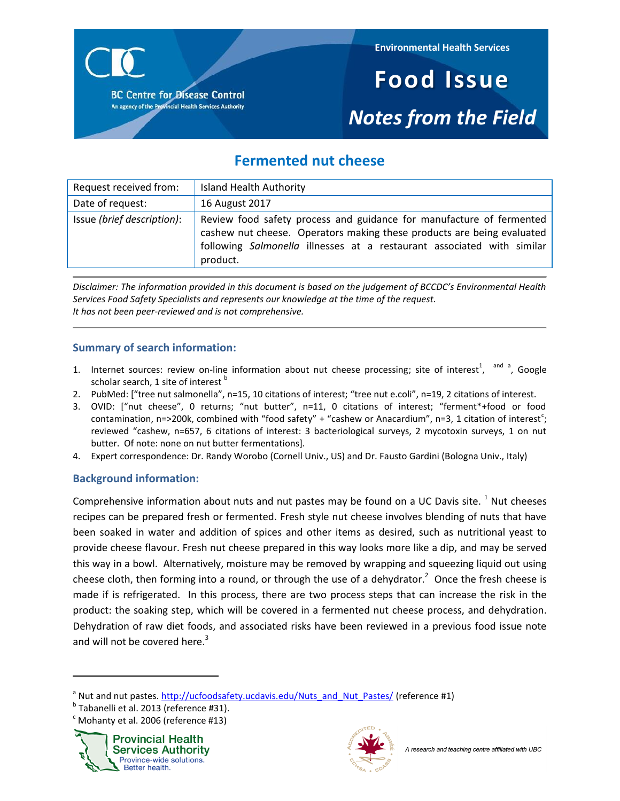

# **Food Issue** *Notes from the Field*

# **Fermented nut cheese**

| Request received from:     | <b>Island Health Authority</b>                                                                                                                                                                                                       |
|----------------------------|--------------------------------------------------------------------------------------------------------------------------------------------------------------------------------------------------------------------------------------|
| Date of request:           | 16 August 2017                                                                                                                                                                                                                       |
| Issue (brief description): | Review food safety process and guidance for manufacture of fermented<br>cashew nut cheese. Operators making these products are being evaluated<br>following Salmonella illnesses at a restaurant associated with similar<br>product. |

*Disclaimer: The information provided in this document is based on the judgement of BCCDC's Environmental Health Services Food Safety Specialists and represents our knowledge at the time of the request. It has not been peer-reviewed and is not comprehensive.*

# **Summary of search information:**

- 1. Internet sources: review on-line information about nut cheese processing; site of interest<sup>1</sup>[,](#page-8-0) <sup>and a</sup>, Google scholar search, 1 site of interest<sup>o</sup>
- 2. PubMed: ["tree nut salmonella", n=15, 10 citations of interest; "tree nut e.coli", n=19, 2 citations of interest.
- 3. OVID: ["nut cheese", 0 returns; "nut butter", n=11, 0 citations of interest; "ferment\*+food or food contamination, n=>200k, combined with "food safety" + "cashew or Anacardium", n=3, 1 citation of interest<sup>c</sup>; reviewed "cashew, n=657, 6 citations of interest: 3 bacteriological surveys, 2 mycotoxin surveys, 1 on nut butter. Of note: none on nut butter fermentations].
- 4. Expert correspondence: Dr. Randy Worobo (Cornell Univ., US) and Dr. Fausto Gardini (Bologna Univ., Italy)

# **Background information:**

Comprehensive information about nuts and nut pastes may be found on a UC Davis site.  $1$  Nut cheeses recipes can be prepared fresh or fermented. Fresh style nut cheese involves blending of nuts that have been soaked in water and addition of spices and other items as desired, such as nutritional yeast to provide cheese flavour. Fresh nut cheese prepared in this way looks more like a dip, and may be served this way in a bowl. Alternatively, moisture may be removed by wrapping and squeezing liquid out using cheese cloth, then forming into a round, or through the use of a dehydrator[.](#page-8-1)<sup>2</sup> Once the fresh cheese is made if is refrigerated. In this process, there are two process steps that can increase the risk in the product: the soaking step, which will be covered in a fermented nut cheese process, and dehydration. Dehydration of raw diet foods, and associated risks have been reviewed in a previous food issue note and will not be covered here[.](#page-8-2)<sup>3</sup>

 $\textdegree$  Mohanty et al. 2006 (reference #13)



l



<sup>&</sup>lt;sup>a</sup> Nut and nut pastes[. http://ucfoodsafety.ucdavis.edu/Nuts\\_and\\_Nut\\_Pastes/](http://ucfoodsafety.ucdavis.edu/Nuts_and_Nut_Pastes/) (reference #1)

<sup>&</sup>lt;sup>b</sup> Tabanelli et al. 2013 (reference #31).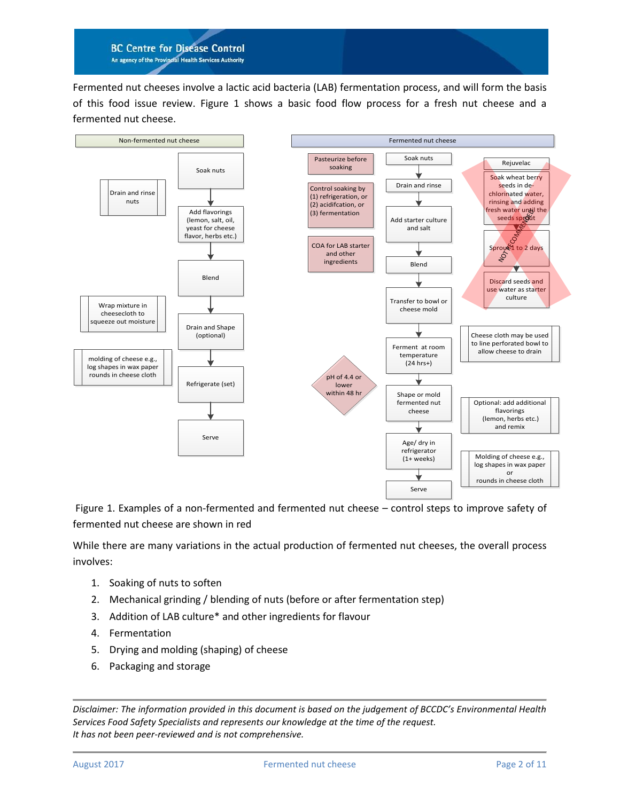Fermented nut cheeses involve a lactic acid bacteria (LAB) fermentation process, and will form the basis of this food issue review. Figure 1 shows a basic food flow process for a fresh nut cheese and a fermented nut cheese.



Figure 1. Examples of a non-fermented and fermented nut cheese – control steps to improve safety of fermented nut cheese are shown in red

While there are many variations in the actual production of fermented nut cheeses, the overall process involves:

- 1. Soaking of nuts to soften
- 2. Mechanical grinding / blending of nuts (before or after fermentation step)
- 3. Addition of LAB culture\* and other ingredients for flavour
- 4. Fermentation
- 5. Drying and molding (shaping) of cheese
- 6. Packaging and storage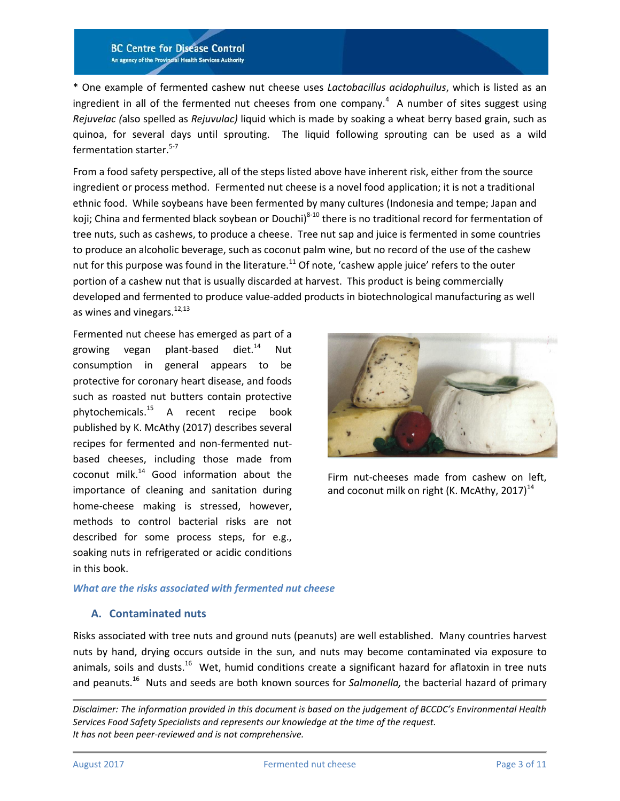\* One example of fermented cashew nut cheese uses *Lactobacillus acidophuilus*, which is listed as an ingredient in all of the fermented nut cheeses from one company[.](#page-9-0)<sup>4</sup> A number of sites suggest using *Rejuvelac (*also spelled as *Rejuvulac)* liquid which is made by soaking a wheat berry based grain, such as quinoa, for several days until sprouting. The liquid following sprouting can be used as a wild fermentation starter.<sup>[5-7](#page-9-1)</sup>

From a food safety perspective, all of the steps listed above have inherent risk, either from the source ingredient or process method. Fermented nut cheese is a novel food application; it is not a traditional ethnic food. While soybeans have been fermented by many cultures (Indonesia and tempe; Japan and koji; China and fermented black soybean or Douchi)<sup>[8-10](#page-9-2)</sup> there is no traditional record for fermentation of tree nuts, such as cashews, to produce a cheese. Tree nut sap and juice is fermented in some countries to produce an alcoholic beverage, such as coconut palm wine, but no record of the use of the cashew nut for this purpose was found in the literature.<sup>[11](#page-9-3)</sup> Of note, 'cashew apple juice' refers to the outer portion of a cashew nut that is usually discarded at harvest. This product is being commercially developed and fermented to produce value-added products in biotechnological manufacturing as well as wines and vinegars.<sup>[12,](#page-9-4)[13](#page-9-5)</sup>

Fermented nut cheese has emerged as part of a growing vegan plant-based diet. $14$  Nut consumption in general appears to be protective for coronary heart disease, and foods such as roasted nut butters contain protective phytochemicals.[15](#page-9-7) A recent recipe book published by K. McAthy (2017) describes several recipes for fermented and non-fermented nutbased cheeses, including those made from coconut milk. $14$  Good information about the importance of cleaning and sanitation during home-cheese making is stressed, however, methods to control bacterial risks are not described for some process steps, for e.g., soaking nuts in refrigerated or acidic conditions in this book.



Firm nut-cheeses made from cashew on left, and coconut milk on right (K. McAthy, 2017)<sup>[14](#page-9-6)</sup>

#### *What are the risks associated with fermented nut cheese*

#### **A. Contaminated nuts**

Risks associated with tree nuts and ground nuts (peanuts) are well established. Many countries harvest nuts by hand, drying occurs outside in the sun, and nuts may become contaminated via exposure to animals, soils and dusts.<sup>[16](#page-9-8)</sup> Wet, humid conditions create a significant hazard for aflatoxin in tree nuts and peanuts.<sup>[16](#page-9-8)</sup> Nuts and seeds are both known sources for Salmonella, the bacterial hazard of primary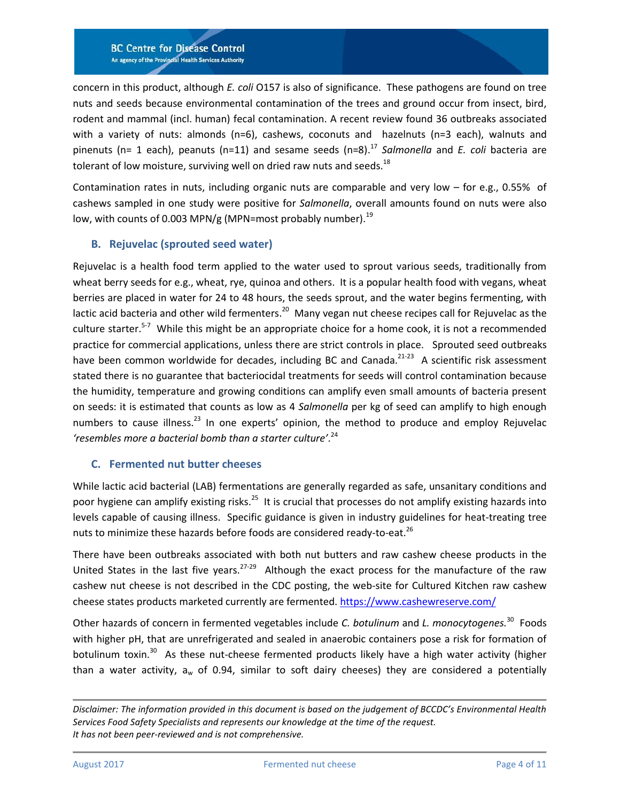concern in this product, although *E. coli* O157 is also of significance. These pathogens are found on tree nuts and seeds because environmental contamination of the trees and ground occur from insect, bird, rodent and mammal (incl. human) fecal contamination. A recent review found 36 outbreaks associated with a variety of nuts: almonds (n=6), cashews, coconuts and hazelnuts (n=3 each), walnuts and pinenuts (n= 1 each), peanuts (n=11) and sesame seeds (n=8). [17](#page-9-9) *Salmonella* and *E. coli* bacteria are tolerant of low moisture, surviving well on dried raw nuts and seeds.<sup>[18](#page-9-10)</sup>

Contamination rates in nuts, including organic nuts are comparable and very low – for e.g., 0.55% of cashews sampled in one study were positive for *Salmonella*, overall amounts found on nuts were also low, with counts of 0.003 MPN/g (MPN=most probably number).<sup>[19](#page-9-11)</sup>

# **B. Rejuvelac (sprouted seed water)**

Rejuvelac is a health food term applied to the water used to sprout various seeds, traditionally from wheat berry seeds for e.g., wheat, rye, quinoa and others. It is a popular health food with vegans, wheat berries are placed in water for 24 to 48 hours, the seeds sprout, and the water begins fermenting, with lactic acid bacteria and other wild fermenters.<sup>[20](#page-10-0)</sup> Many vegan nut cheese recipes call for Rejuvelac as the culture starter.<sup>[5-7](#page-9-1)</sup> While this might be an appropriate choice for a home cook, it is not a recommended practice for commercial applications, unless there are strict controls in place. Sprouted seed outbreaks have been common worldwide for decades, including BC and Canada.<sup>[21-23](#page-10-1)</sup> A scientific risk assessment stated there is no guarantee that bacteriocidal treatments for seeds will control contamination because the humidity, temperature and growing conditions can amplify even small amounts of bacteria present on seeds: it is estimated that counts as low as 4 *Salmonella* per kg of seed can amplify to high enough numbers to cause illness.<sup>[23](#page-10-2)</sup> In one experts' opinion, the method to produce and employ Rejuvelac *'resembles more a bacterial bomb than a starter culture'*. [24](#page-10-3)

### **C. Fermented nut butter cheeses**

While lactic acid bacterial (LAB) fermentations are generally regarded as safe, unsanitary conditions and poor hygiene can amplify existing risks.<sup>[25](#page-10-4)</sup> It is crucial that processes do not amplify existing hazards into levels capable of causing illness. Specific guidance is given in industry guidelines for heat-treating tree nuts to minimize these hazards before foods are considered ready-to-eat.<sup>[26](#page-10-5)</sup>

There have been outbreaks associated with both nut butters and raw cashew cheese products in the United States in the last five years.<sup>[27-29](#page-10-6)</sup> Although the exact process for the manufacture of the raw cashew nut cheese is not described in the CDC posting, the web-site for Cultured Kitchen raw cashew cheese states products marketed currently are fermented. <https://www.cashewreserve.com/>

Other hazards of concern in fermented vegetables include *C. botulinum* and *L. monocytogenes.*<sup>[30](#page-10-7)</sup> Foods with higher pH, that are unrefrigerated and sealed in anaerobic containers pose a risk for formation of botulinum toxin.<sup>[30](#page-10-7)</sup> As these nut-cheese fermented products likely have a high water activity (higher than a water activity,  $a_w$  of 0.94, similar to soft dairy cheeses) they are considered a potentially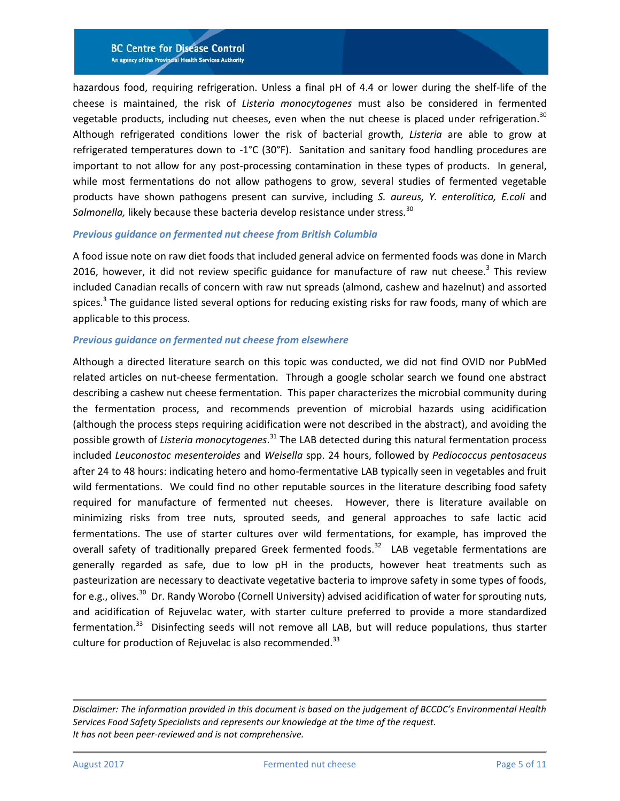hazardous food, requiring refrigeration. Unless a final pH of 4.4 or lower during the shelf-life of the cheese is maintained, the risk of *Listeria monocytogenes* must also be considered in fermented vegetable products, including nut cheeses, even when the nut cheese is placed under refrigeration.<sup>[30](#page-10-7)</sup> Although refrigerated conditions lower the risk of bacterial growth, *Listeria* are able to grow at refrigerated temperatures down to -1°C (30°F). Sanitation and sanitary food handling procedures are important to not allow for any post-processing contamination in these types of products. In general, while most fermentations do not allow pathogens to grow, several studies of fermented vegetable products have shown pathogens present can survive, including *S. aureus, Y. enterolitica, E.coli* and *Salmonella,* likely because these bacteria develop resistance under stress*.* [30](#page-10-7)

#### *Previous guidance on fermented nut cheese from British Columbia*

A food issue note on raw diet foods that included general advice on fermented foods was done in March 2016, however, it did not review specific guidance for manufacture of raw nut cheese.<sup>[3](#page-8-2)</sup> This review included Canadian recalls of concern with raw nut spreads (almond, cashew and hazelnut) and assorted spices.<sup>[3](#page-8-2)</sup> The guidance listed several options for reducing existing risks for raw foods, many of which are applicable to this process.

#### *Previous guidance on fermented nut cheese from elsewhere*

Although a directed literature search on this topic was conducted, we did not find OVID nor PubMed related articles on nut-cheese fermentation. Through a google scholar search we found one abstract describing a cashew nut cheese fermentation. This paper characterizes the microbial community during the fermentation process, and recommends prevention of microbial hazards using acidification (although the process steps requiring acidification were not described in the abstract), and avoiding the possible growth of *Listeria monocytogenes*. [31](#page-10-8) The LAB detected during this natural fermentation process included *Leuconostoc mesenteroides* and *Weisella* spp. 24 hours, followed by *Pediococcus pentosaceus* after 24 to 48 hours: indicating hetero and homo-fermentative LAB typically seen in vegetables and fruit wild fermentations. We could find no other reputable sources in the literature describing food safety required for manufacture of fermented nut cheeses. However, there is literature available on minimizing risks from tree nuts, sprouted seeds, and general approaches to safe lactic acid fermentations. The use of starter cultures over wild fermentations, for example, has improved the overall safety of traditionally prepared Greek fermented foods.<sup>[32](#page-10-9)</sup> LAB vegetable fermentations are generally regarded as safe, due to low pH in the products, however heat treatments such as pasteurization are necessary to deactivate vegetative bacteria to improve safety in some types of foods, for e.g., olives.<sup>[30](#page-10-7)</sup> Dr. Randy Worobo (Cornell University) advised acidification of water for sprouting nuts, and acidification of Rejuvelac water, with starter culture preferred to provide a more standardized fermentation.<sup>[33](#page-10-10)</sup> Disinfecting seeds will not remove all LAB, but will reduce populations, thus starter culture for production of Rejuvelac is also recommended. $^{33}$  $^{33}$  $^{33}$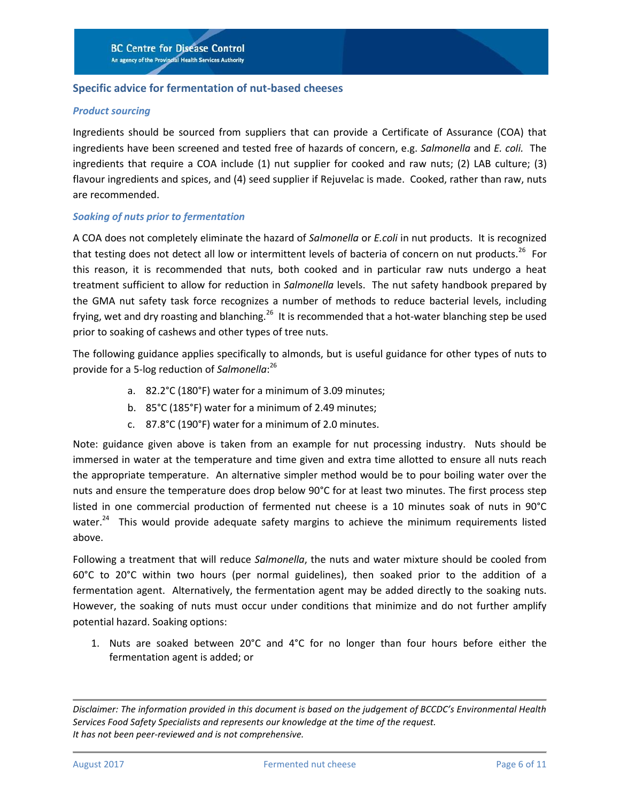#### **Specific advice for fermentation of nut-based cheeses**

#### *Product sourcing*

Ingredients should be sourced from suppliers that can provide a Certificate of Assurance (COA) that ingredients have been screened and tested free of hazards of concern, e.g. *Salmonella* and *E. coli.* The ingredients that require a COA include (1) nut supplier for cooked and raw nuts; (2) LAB culture; (3) flavour ingredients and spices, and (4) seed supplier if Rejuvelac is made. Cooked, rather than raw, nuts are recommended.

#### *Soaking of nuts prior to fermentation*

A COA does not completely eliminate the hazard of *Salmonella* or *E.coli* in nut products. It is recognized that testing does not detect all low or intermittent levels of bacteria of concern on nut products.<sup>[26](#page-10-5)</sup> For this reason, it is recommended that nuts, both cooked and in particular raw nuts undergo a heat treatment sufficient to allow for reduction in *Salmonella* levels. The nut safety handbook prepared by the GMA nut safety task force recognizes a number of methods to reduce bacterial levels, including frying, wet and dry roasting and blanching.<sup>[26](#page-10-5)</sup> It is recommended that a hot-water blanching step be used prior to soaking of cashews and other types of tree nuts.

The following guidance applies specifically to almonds, but is useful guidance for other types of nuts to provide for a 5-log reduction of *Salmonella*: [26](#page-10-5)

- a. 82.2°C (180°F) water for a minimum of 3.09 minutes;
- b. 85°C (185°F) water for a minimum of 2.49 minutes;
- c. 87.8°C (190°F) water for a minimum of 2.0 minutes.

Note: guidance given above is taken from an example for nut processing industry. Nuts should be immersed in water at the temperature and time given and extra time allotted to ensure all nuts reach the appropriate temperature. An alternative simpler method would be to pour boiling water over the nuts and ensure the temperature does drop below 90°C for at least two minutes. The first process step listed in one commercial production of fermented nut cheese is a 10 minutes soak of nuts in 90°C water.<sup>[24](#page-10-3)</sup> This would provide adequate safety margins to achieve the minimum requirements listed above.

Following a treatment that will reduce *Salmonella*, the nuts and water mixture should be cooled from 60°C to 20°C within two hours (per normal guidelines), then soaked prior to the addition of a fermentation agent. Alternatively, the fermentation agent may be added directly to the soaking nuts. However, the soaking of nuts must occur under conditions that minimize and do not further amplify potential hazard. Soaking options:

1. Nuts are soaked between 20°C and 4°C for no longer than four hours before either the fermentation agent is added; or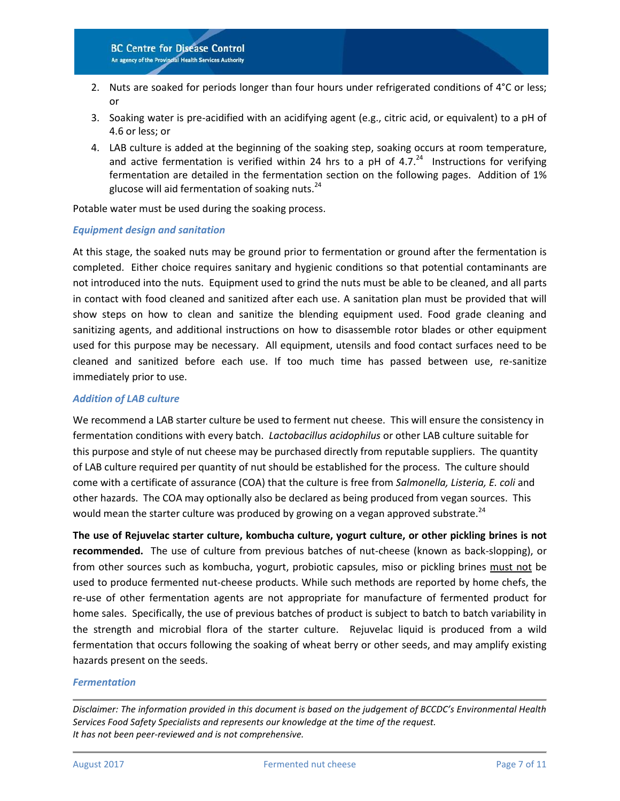- 2. Nuts are soaked for periods longer than four hours under refrigerated conditions of  $4^{\circ}$ C or less; or
- 3. Soaking water is pre-acidified with an acidifying agent (e.g., citric acid, or equivalent) to a pH of 4.6 or less; or
- 4. LAB culture is added at the beginning of the soaking step, soaking occurs at room temperature, and active fermentation is verified within [24](#page-10-3) hrs to a pH of 4.7. $^{24}$  Instructions for verifying fermentation are detailed in the fermentation section on the following pages. Addition of 1% glucose will aid fermentation of soaking nuts. $^{24}$  $^{24}$  $^{24}$

Potable water must be used during the soaking process.

#### *Equipment design and sanitation*

At this stage, the soaked nuts may be ground prior to fermentation or ground after the fermentation is completed. Either choice requires sanitary and hygienic conditions so that potential contaminants are not introduced into the nuts. Equipment used to grind the nuts must be able to be cleaned, and all parts in contact with food cleaned and sanitized after each use. A sanitation plan must be provided that will show steps on how to clean and sanitize the blending equipment used. Food grade cleaning and sanitizing agents, and additional instructions on how to disassemble rotor blades or other equipment used for this purpose may be necessary. All equipment, utensils and food contact surfaces need to be cleaned and sanitized before each use. If too much time has passed between use, re-sanitize immediately prior to use.

#### *Addition of LAB culture*

We recommend a LAB starter culture be used to ferment nut cheese. This will ensure the consistency in fermentation conditions with every batch. *Lactobacillus acidophilus* or other LAB culture suitable for this purpose and style of nut cheese may be purchased directly from reputable suppliers. The quantity of LAB culture required per quantity of nut should be established for the process. The culture should come with a certificate of assurance (COA) that the culture is free from *Salmonella, Listeria, E. coli* and other hazards. The COA may optionally also be declared as being produced from vegan sources. This would mean the starter culture was produced by growing on a vegan approved substrate.<sup>[24](#page-10-3)</sup>

**The use of Rejuvelac starter culture, kombucha culture, yogurt culture, or other pickling brines is not recommended.** The use of culture from previous batches of nut-cheese (known as back-slopping), or from other sources such as kombucha, yogurt, probiotic capsules, miso or pickling brines must not be used to produce fermented nut-cheese products. While such methods are reported by home chefs, the re-use of other fermentation agents are not appropriate for manufacture of fermented product for home sales. Specifically, the use of previous batches of product is subject to batch to batch variability in the strength and microbial flora of the starter culture. Rejuvelac liquid is produced from a wild fermentation that occurs following the soaking of wheat berry or other seeds, and may amplify existing hazards present on the seeds.

#### *Fermentation*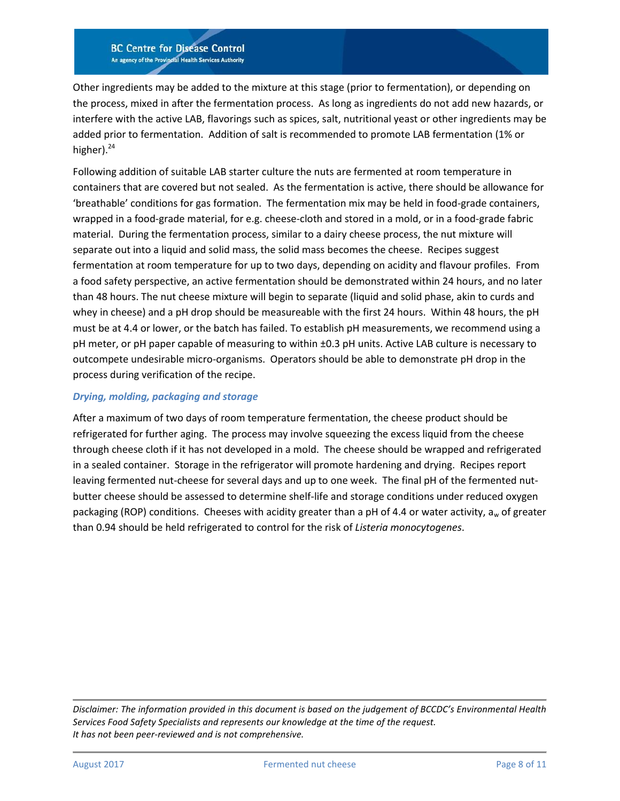Other ingredients may be added to the mixture at this stage (prior to fermentation), or depending on the process, mixed in after the fermentation process. As long as ingredients do not add new hazards, or interfere with the active LAB, flavorings such as spices, salt, nutritional yeast or other ingredients may be added prior to fermentation. Addition of salt is recommended to promote LAB fermentation (1% or higher).<sup>[24](#page-10-3)</sup>

Following addition of suitable LAB starter culture the nuts are fermented at room temperature in containers that are covered but not sealed. As the fermentation is active, there should be allowance for 'breathable' conditions for gas formation. The fermentation mix may be held in food-grade containers, wrapped in a food-grade material, for e.g. cheese-cloth and stored in a mold, or in a food-grade fabric material. During the fermentation process, similar to a dairy cheese process, the nut mixture will separate out into a liquid and solid mass, the solid mass becomes the cheese. Recipes suggest fermentation at room temperature for up to two days, depending on acidity and flavour profiles. From a food safety perspective, an active fermentation should be demonstrated within 24 hours, and no later than 48 hours. The nut cheese mixture will begin to separate (liquid and solid phase, akin to curds and whey in cheese) and a pH drop should be measureable with the first 24 hours. Within 48 hours, the pH must be at 4.4 or lower, or the batch has failed. To establish pH measurements, we recommend using a pH meter, or pH paper capable of measuring to within ±0.3 pH units. Active LAB culture is necessary to outcompete undesirable micro-organisms. Operators should be able to demonstrate pH drop in the process during verification of the recipe.

#### *Drying, molding, packaging and storage*

After a maximum of two days of room temperature fermentation, the cheese product should be refrigerated for further aging. The process may involve squeezing the excess liquid from the cheese through cheese cloth if it has not developed in a mold. The cheese should be wrapped and refrigerated in a sealed container. Storage in the refrigerator will promote hardening and drying. Recipes report leaving fermented nut-cheese for several days and up to one week. The final pH of the fermented nutbutter cheese should be assessed to determine shelf-life and storage conditions under reduced oxygen packaging (ROP) conditions. Cheeses with acidity greater than a pH of 4.4 or water activity,  $a_w$  of greater than 0.94 should be held refrigerated to control for the risk of *Listeria monocytogenes*.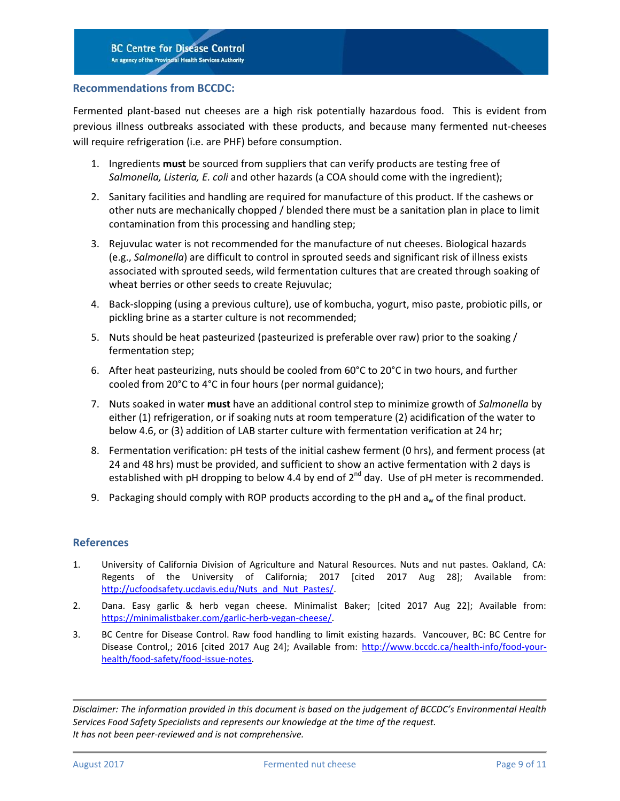#### **Recommendations from BCCDC:**

Fermented plant-based nut cheeses are a high risk potentially hazardous food. This is evident from previous illness outbreaks associated with these products, and because many fermented nut-cheeses will require refrigeration (i.e. are PHF) before consumption.

- 1. Ingredients **must** be sourced from suppliers that can verify products are testing free of *Salmonella, Listeria, E. coli* and other hazards (a COA should come with the ingredient);
- 2. Sanitary facilities and handling are required for manufacture of this product. If the cashews or other nuts are mechanically chopped / blended there must be a sanitation plan in place to limit contamination from this processing and handling step;
- 3. Rejuvulac water is not recommended for the manufacture of nut cheeses. Biological hazards (e.g., *Salmonella*) are difficult to control in sprouted seeds and significant risk of illness exists associated with sprouted seeds, wild fermentation cultures that are created through soaking of wheat berries or other seeds to create Rejuvulac;
- 4. Back-slopping (using a previous culture), use of kombucha, yogurt, miso paste, probiotic pills, or pickling brine as a starter culture is not recommended;
- 5. Nuts should be heat pasteurized (pasteurized is preferable over raw) prior to the soaking / fermentation step;
- 6. After heat pasteurizing, nuts should be cooled from 60°C to 20°C in two hours, and further cooled from 20°C to 4°C in four hours (per normal guidance);
- 7. Nuts soaked in water **must** have an additional control step to minimize growth of *Salmonella* by either (1) refrigeration, or if soaking nuts at room temperature (2) acidification of the water to below 4.6, or (3) addition of LAB starter culture with fermentation verification at 24 hr;
- 8. Fermentation verification: pH tests of the initial cashew ferment (0 hrs), and ferment process (at 24 and 48 hrs) must be provided, and sufficient to show an active fermentation with 2 days is established with pH dropping to below 4.4 by end of  $2^{nd}$  day. Use of pH meter is recommended.
- 9. Packaging should comply with ROP products according to the pH and  $a_w$  of the final product.

#### **References**

- <span id="page-8-0"></span>1. University of California Division of Agriculture and Natural Resources. Nuts and nut pastes. Oakland, CA: Regents of the University of California; 2017 [cited 2017 Aug 28]; Available from: [http://ucfoodsafety.ucdavis.edu/Nuts\\_and\\_Nut\\_Pastes/.](http://ucfoodsafety.ucdavis.edu/Nuts_and_Nut_Pastes/)
- <span id="page-8-1"></span>2. Dana. Easy garlic & herb vegan cheese. Minimalist Baker; [cited 2017 Aug 22]; Available from: [https://minimalistbaker.com/garlic-herb-vegan-cheese/.](https://minimalistbaker.com/garlic-herb-vegan-cheese/)
- <span id="page-8-2"></span>3. BC Centre for Disease Control. Raw food handling to limit existing hazards. Vancouver, BC: BC Centre for Disease Control,; 2016 [cited 2017 Aug 24]; Available from: [http://www.bccdc.ca/health-info/food-your](http://www.bccdc.ca/health-info/food-your-health/food-safety/food-issue-notes)[health/food-safety/food-issue-notes.](http://www.bccdc.ca/health-info/food-your-health/food-safety/food-issue-notes)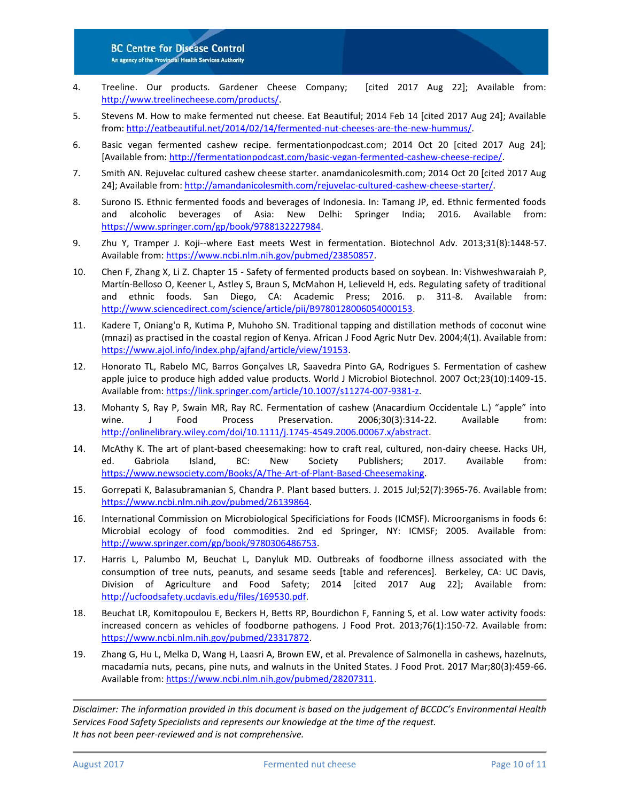- <span id="page-9-0"></span>4. Treeline. Our products. Gardener Cheese Company; [cited 2017 Aug 22]; Available from: [http://www.treelinecheese.com/products/.](http://www.treelinecheese.com/products/)
- <span id="page-9-1"></span>5. Stevens M. How to make fermented nut cheese. Eat Beautiful; 2014 Feb 14 [cited 2017 Aug 24]; Available from: [http://eatbeautiful.net/2014/02/14/fermented-nut-cheeses-are-the-new-hummus/.](http://eatbeautiful.net/2014/02/14/fermented-nut-cheeses-are-the-new-hummus/)
- 6. Basic vegan fermented cashew recipe. fermentationpodcast.com; 2014 Oct 20 [cited 2017 Aug 24]; [Available from[: http://fermentationpodcast.com/basic-vegan-fermented-cashew-cheese-recipe/.](http://fermentationpodcast.com/basic-vegan-fermented-cashew-cheese-recipe/)
- 7. Smith AN. Rejuvelac cultured cashew cheese starter. anamdanicolesmith.com; 2014 Oct 20 [cited 2017 Aug 24]; Available from[: http://amandanicolesmith.com/rejuvelac-cultured-cashew-cheese-starter/.](http://amandanicolesmith.com/rejuvelac-cultured-cashew-cheese-starter/)
- <span id="page-9-2"></span>8. Surono IS. Ethnic fermented foods and beverages of Indonesia. In: Tamang JP, ed. Ethnic fermented foods and alcoholic beverages of Asia: New Delhi: Springer India; 2016. Available from: [https://www.springer.com/gp/book/9788132227984.](https://www.springer.com/gp/book/9788132227984)
- 9. Zhu Y, Tramper J. Koji--where East meets West in fermentation. Biotechnol Adv. 2013;31(8):1448-57. Available from: [https://www.ncbi.nlm.nih.gov/pubmed/23850857.](https://www.ncbi.nlm.nih.gov/pubmed/23850857)
- 10. Chen F, Zhang X, Li Z. Chapter 15 Safety of fermented products based on soybean. In: Vishweshwaraiah P, Martín-Belloso O, Keener L, Astley S, Braun S, McMahon H, Lelieveld H, eds. Regulating safety of traditional and ethnic foods. San Diego, CA: Academic Press; 2016. p. 311-8. Available from: [http://www.sciencedirect.com/science/article/pii/B9780128006054000153.](http://www.sciencedirect.com/science/article/pii/B9780128006054000153)
- <span id="page-9-3"></span>11. Kadere T, Oniang'o R, Kutima P, Muhoho SN. Traditional tapping and distillation methods of coconut wine (mnazi) as practised in the coastal region of Kenya. African J Food Agric Nutr Dev. 2004;4(1). Available from: [https://www.ajol.info/index.php/ajfand/article/view/19153.](https://www.ajol.info/index.php/ajfand/article/view/19153)
- <span id="page-9-4"></span>12. Honorato TL, Rabelo MC, Barros Gonçalves LR, Saavedra Pinto GA, Rodrigues S. Fermentation of cashew apple juice to produce high added value products. World J Microbiol Biotechnol. 2007 Oct;23(10):1409-15. Available from: [https://link.springer.com/article/10.1007/s11274-007-9381-z.](https://link.springer.com/article/10.1007/s11274-007-9381-z)
- <span id="page-9-5"></span>13. Mohanty S, Ray P, Swain MR, Ray RC. Fermentation of cashew (Anacardium Occidentale L.) "apple" into wine. J Food Process Preservation. 2006;30(3):314-22. Available from: [http://onlinelibrary.wiley.com/doi/10.1111/j.1745-4549.2006.00067.x/abstract.](http://onlinelibrary.wiley.com/doi/10.1111/j.1745-4549.2006.00067.x/abstract)
- <span id="page-9-6"></span>14. McAthy K. The art of plant-based cheesemaking: how to craft real, cultured, non-dairy cheese. Hacks UH, ed. Gabriola Island, BC: New Society Publishers; 2017. Available from: [https://www.newsociety.com/Books/A/The-Art-of-Plant-Based-Cheesemaking.](https://www.newsociety.com/Books/A/The-Art-of-Plant-Based-Cheesemaking)
- <span id="page-9-7"></span>15. Gorrepati K, Balasubramanian S, Chandra P. Plant based butters. J. 2015 Jul;52(7):3965-76. Available from: [https://www.ncbi.nlm.nih.gov/pubmed/26139864.](https://www.ncbi.nlm.nih.gov/pubmed/26139864)
- <span id="page-9-8"></span>16. International Commission on Microbiological Specificiations for Foods (ICMSF). Microorganisms in foods 6: Microbial ecology of food commodities. 2nd ed Springer, NY: ICMSF; 2005. Available from: [http://www.springer.com/gp/book/9780306486753.](http://www.springer.com/gp/book/9780306486753)
- <span id="page-9-9"></span>17. Harris L, Palumbo M, Beuchat L, Danyluk MD. Outbreaks of foodborne illness associated with the consumption of tree nuts, peanuts, and sesame seeds [table and references]. Berkeley, CA: UC Davis, Division of Agriculture and Food Safety; 2014 [cited 2017 Aug 22]; Available from: [http://ucfoodsafety.ucdavis.edu/files/169530.pdf.](http://ucfoodsafety.ucdavis.edu/files/169530.pdf)
- <span id="page-9-10"></span>18. Beuchat LR, Komitopoulou E, Beckers H, Betts RP, Bourdichon F, Fanning S, et al. Low water activity foods: increased concern as vehicles of foodborne pathogens. J Food Prot. 2013;76(1):150-72. Available from: [https://www.ncbi.nlm.nih.gov/pubmed/23317872.](https://www.ncbi.nlm.nih.gov/pubmed/23317872)
- <span id="page-9-11"></span>19. Zhang G, Hu L, Melka D, Wang H, Laasri A, Brown EW, et al. Prevalence of Salmonella in cashews, hazelnuts, macadamia nuts, pecans, pine nuts, and walnuts in the United States. J Food Prot. 2017 Mar;80(3):459-66. Available from: [https://www.ncbi.nlm.nih.gov/pubmed/28207311.](https://www.ncbi.nlm.nih.gov/pubmed/28207311)